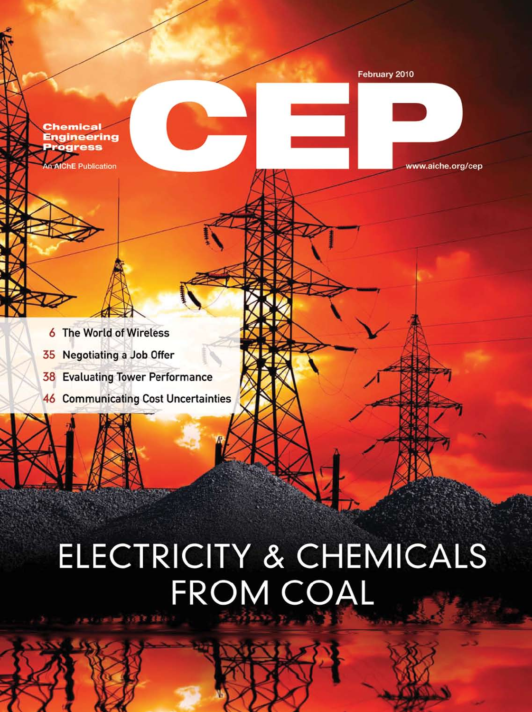**Chemical Engineering** rogress

**NIChE Publication** 

February 2010



www.aiche.org/cep

- 6 The World of Wireless
- 35 Negotiating a Job Offer
- **38** Evaluating Tower Performance
- **46 Communicating Cost Uncertainties**

# **ELECTRICITY & CHEMICALS** FROM COAL **Allege Side & Block**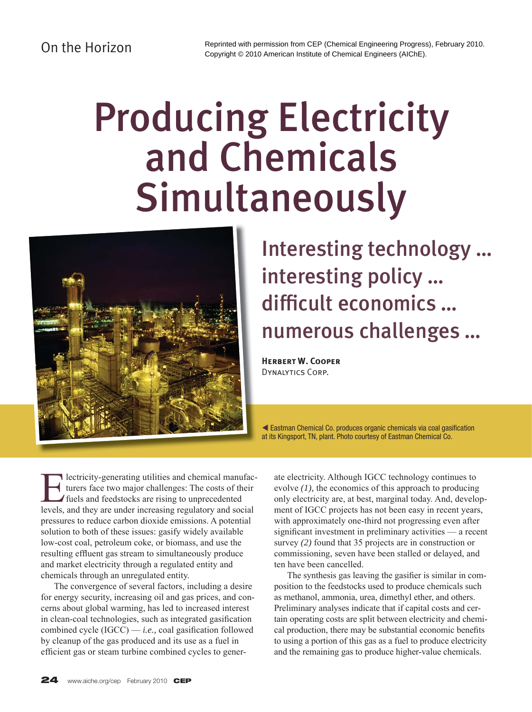## On the Horizon

# Producing Electricity and Chemicals Simultaneously



# Interesting technology … interesting policy … difficult economics ... numerous challenges …

**Herbert W. Cooper** Dynalytics Corp.

K Eastman Chemical Co. produces organic chemicals via coal gasification at its Kingsport, TN, plant. Photo courtesy of Eastman Chemical Co.

Electricity-generating utilities and chemical manufacturers face two major challenges: The costs of their<br>fuels and feedstocks are rising to unprecedented<br>layels and they are under increasing requisions and social turers face two major challenges: The costs of their fuels and feedstocks are rising to unprecedented levels, and they are under increasing regulatory and social pressures to reduce carbon dioxide emissions. A potential solution to both of these issues: gasify widely available low-cost coal, petroleum coke, or biomass, and use the resulting effluent gas stream to simultaneously produce and market electricity through a regulated entity and chemicals through an unregulated entity.

 The convergence of several factors, including a desire for energy security, increasing oil and gas prices, and concerns about global warming, has led to increased interest in clean-coal technologies, such as integrated gasification combined cycle  $(IGCC) - i.e.,$  coal gasification followed by cleanup of the gas produced and its use as a fuel in efficient gas or steam turbine combined cycles to gener-

ate electricity. Although IGCC technology continues to evolve *(1),* the economics of this approach to producing only electricity are, at best, marginal today. And, development of IGCC projects has not been easy in recent years, with approximately one-third not progressing even after significant investment in preliminary activities — a recent survey *(2)* found that 35 projects are in construction or commissioning, seven have been stalled or delayed, and ten have been cancelled.

The synthesis gas leaving the gasifier is similar in composition to the feedstocks used to produce chemicals such as methanol, ammonia, urea, dimethyl ether, and others. Preliminary analyses indicate that if capital costs and certain operating costs are split between electricity and chemical production, there may be substantial economic benefits to using a portion of this gas as a fuel to produce electricity and the remaining gas to produce higher-value chemicals.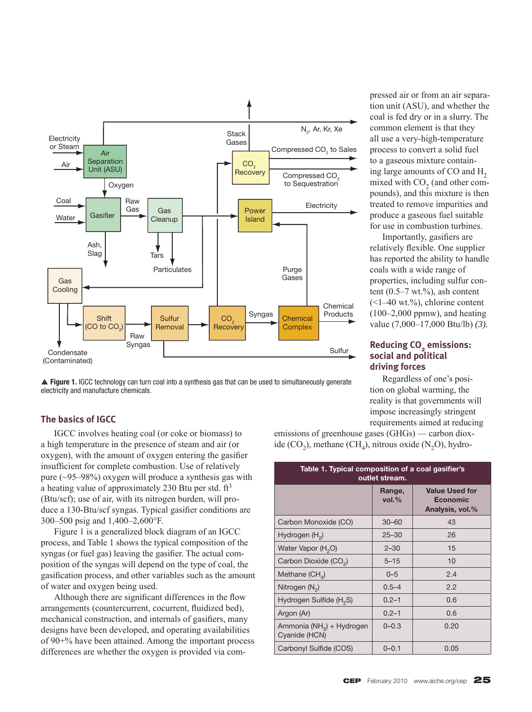

▲ **Figure 1.** IGCC technology can turn coal into a synthesis gas that can be used to simultaneously generate electricity and manufacture chemicals.

#### **The basics of IGCC**

 IGCC involves heating coal (or coke or biomass) to a high temperature in the presence of steam and air (or oxygen), with the amount of oxygen entering the gasifier insufficient for complete combustion. Use of relatively pure (~95–98%) oxygen will produce a synthesis gas with a heating value of approximately 230 Btu per std.  $ft<sup>3</sup>$ (Btu/scf); use of air, with its nitrogen burden, will produce a 130-Btu/scf syngas. Typical gasifier conditions are 300–500 psig and 1,400–2,600°F.

 Figure 1 is a generalized block diagram of an IGCC process, and Table 1 shows the typical composition of the syngas (or fuel gas) leaving the gasifier. The actual composition of the syngas will depend on the type of coal, the gasification process, and other variables such as the amount of water and oxygen being used.

Although there are significant differences in the flow arrangements (countercurrent, cocurrent, fluidized bed), mechanical construction, and internals of gasifiers, many designs have been developed, and operating availabilities of 90+% have been attained. Among the important process differences are whether the oxygen is provided via com-

pressed air or from an air separation unit (ASU), and whether the coal is fed dry or in a slurry. The common element is that they all use a very-high-temperature process to convert a solid fuel to a gaseous mixture containing large amounts of CO and H<sub>2</sub> mixed with  $CO<sub>2</sub>$  (and other compounds), and this mixture is then treated to remove impurities and produce a gaseous fuel suitable for use in combustion turbines.

Importantly, gasifiers are relatively flexible. One supplier has reported the ability to handle coals with a wide range of properties, including sulfur content  $(0.5-7 \text{ wt.})$ %, ash content  $(<1-40$  wt.%), chlorine content  $(100-2,000$  ppmw), and heating value (7,000–17,000 Btu/lb) *(3).*

#### **Reducing CO<sub>2</sub> emissions: social and political driving forces**

 Regardless of one's position on global warming, the reality is that governments will impose increasingly stringent requirements aimed at reducing

emissions of greenhouse gases (GHGs) — carbon dioxide  $(CO<sub>2</sub>)$ , methane  $(CH<sub>4</sub>)$ , nitrous oxide  $(N<sub>2</sub>O)$ , hydro-

| Table 1. Typical composition of a coal gasifier's<br>outlet stream. |                    |                                                             |  |
|---------------------------------------------------------------------|--------------------|-------------------------------------------------------------|--|
|                                                                     | Range,<br>$vol.$ % | <b>Value Used for</b><br><b>Economic</b><br>Analysis, vol.% |  |
| Carbon Monoxide (CO)                                                | $30 - 60$          | 43                                                          |  |
| Hydrogen $(H_2)$                                                    | $25 - 30$          | 26                                                          |  |
| Water Vapor (H <sub>2</sub> O)                                      | $2 - 30$           | 15                                                          |  |
| Carbon Dioxide (CO <sub>2</sub> )                                   | $5 - 15$           | 10                                                          |  |
| Methane $(CH_A)$                                                    | $0 - 5$            | 2.4                                                         |  |
| Nitrogen $(N_2)$                                                    | $0.5 - 4$          | 2.2                                                         |  |
| Hydrogen Sulfide (H <sub>2</sub> S)                                 | $0.2 - 1$          | 0.6                                                         |  |
| Argon (Ar)                                                          | $0.2 - 1$          | 0.6                                                         |  |
| Ammonia (NH <sub>3</sub> ) + Hydrogen<br>Cyanide (HCN)              | $0 - 0.3$          | 0.20                                                        |  |
| Carbonyl Sulfide (COS)                                              | $0 - 0.1$          | 0.05                                                        |  |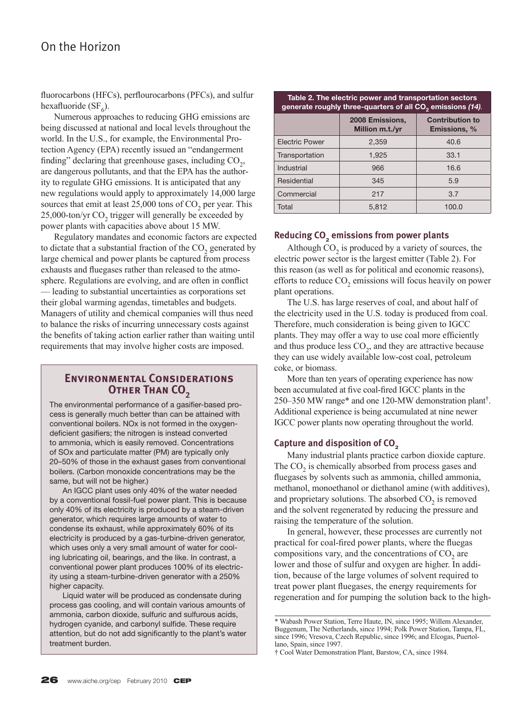### On the Horizon

fluorocarbons (HFCs), perflourocarbons (PFCs), and sulfur hexafluoride (SF $_{6}$ ).

 Numerous approaches to reducing GHG emissions are being discussed at national and local levels throughout the world. In the U.S., for example, the Environmental Protection Agency (EPA) recently issued an "endangerment finding" declaring that greenhouse gases, including  $CO<sub>2</sub>$ , are dangerous pollutants, and that the EPA has the authority to regulate GHG emissions. It is anticipated that any new regulations would apply to approximately 14,000 large sources that emit at least  $25,000$  tons of  $CO<sub>2</sub>$  per year. This  $25,000$ -ton/yr  $CO<sub>2</sub>$  trigger will generally be exceeded by power plants with capacities above about 15 MW.

 Regulatory mandates and economic factors are expected to dictate that a substantial fraction of the  $CO<sub>2</sub>$  generated by large chemical and power plants be captured from process exhausts and fluegases rather than released to the atmosphere. Regulations are evolving, and are often in conflict — leading to substantial uncertainties as corporations set their global warming agendas, timetables and budgets. Managers of utility and chemical companies will thus need to balance the risks of incurring unnecessary costs against the benefits of taking action earlier rather than waiting until requirements that may involve higher costs are imposed.

#### **Environmental Considerations OTHER THAN CO<sub>2</sub>**

The environmental performance of a gasifier-based process is generally much better than can be attained with conventional boilers. NOx is not formed in the oxygendeficient gasifiers; the nitrogen is instead converted to ammonia, which is easily removed. Concentrations of SOx and particulate matter (PM) are typically only 20–50% of those in the exhaust gases from conventional boilers. (Carbon monoxide concentrations may be the same, but will not be higher.)

 An IGCC plant uses only 40% of the water needed by a conventional fossil-fuel power plant. This is because only 40% of its electricity is produced by a steam-driven generator, which requires large amounts of water to condense its exhaust, while approximately 60% of its electricity is produced by a gas-turbine-driven generator, which uses only a very small amount of water for cooling lubricating oil, bearings, and the like. In contrast, a conventional power plant produces 100% of its electricity using a steam-turbine-driven generator with a 250% higher capacity.

 Liquid water will be produced as condensate during process gas cooling, and will contain various amounts of ammonia, carbon dioxide, sulfuric and sulfurous acids, hydrogen cyanide, and carbonyl sulfide. These require attention, but do not add significantly to the plant's water treatment burden.

#### **Table 2. The electric power and transportation sectors generate roughly three-quarters of all CO2 emissions** *(14).*

|                       | 2008 Emissions,<br>Million m.t./yr | <b>Contribution to</b><br><b>Emissions, %</b> |
|-----------------------|------------------------------------|-----------------------------------------------|
| <b>Electric Power</b> | 2,359                              | 40.6                                          |
| Transportation        | 1,925                              | 33.1                                          |
| Industrial            | 966                                | 16.6                                          |
| Residential           | 345                                | 5.9                                           |
| Commercial            | 217                                | 3.7                                           |
| Total                 | 5,812                              | 100.0                                         |

#### **Reducing CO<sub>2</sub> emissions from power plants**

Although  $CO<sub>2</sub>$  is produced by a variety of sources, the electric power sector is the largest emitter (Table 2). For this reason (as well as for political and economic reasons), efforts to reduce  $CO<sub>2</sub>$  emissions will focus heavily on power plant operations.

 The U.S. has large reserves of coal, and about half of the electricity used in the U.S. today is produced from coal. Therefore, much consideration is being given to IGCC plants. They may offer a way to use coal more efficiently and thus produce less  $CO<sub>2</sub>$ , and they are attractive because they can use widely available low-cost coal, petroleum coke, or biomass.

 More than ten years of operating experience has now been accumulated at five coal-fired IGCC plants in the 250–350 MW range\* and one 120-MW demonstration plant†. Additional experience is being accumulated at nine newer IGCC power plants now operating throughout the world.

#### **Capture and disposition of CO<sub>2</sub>**

 Many industrial plants practice carbon dioxide capture. The  $CO<sub>2</sub>$  is chemically absorbed from process gases and fluegases by solvents such as ammonia, chilled ammonia, methanol, monoethanol or diethanol amine (with additives), and proprietary solutions. The absorbed  $CO<sub>2</sub>$  is removed and the solvent regenerated by reducing the pressure and raising the temperature of the solution.

 In general, however, these processes are currently not practical for coal-fired power plants, where the fluegas compositions vary, and the concentrations of  $CO<sub>2</sub>$  are lower and those of sulfur and oxygen are higher. In addition, because of the large volumes of solvent required to treat power plant fluegases, the energy requirements for regeneration and for pumping the solution back to the high-

<sup>\*</sup> Wabash Power Station, Terre Haute, IN, since 1995; Willem Alexander, Buggenum, The Netherlands, since 1994; Polk Power Station, Tampa, FL, since 1996; Vresova, Czech Republic, since 1996; and Elcogas, Puertollano, Spain, since 1997.

<sup>†</sup> Cool Water Demonstration Plant, Barstow, CA, since 1984.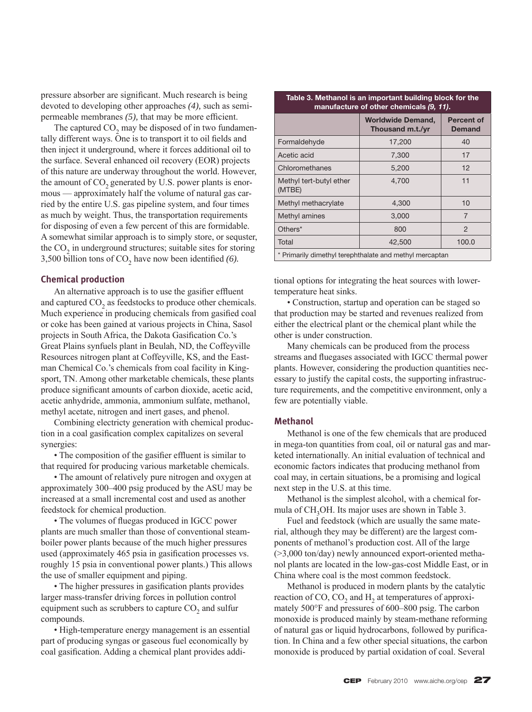pressure absorber are significant. Much research is being devoted to developing other approaches *(4),* such as semipermeable membranes (5), that may be more efficient.

The captured  $CO<sub>2</sub>$  may be disposed of in two fundamentally different ways. One is to transport it to oil fields and then inject it underground, where it forces additional oil to the surface. Several enhanced oil recovery (EOR) projects of this nature are underway throughout the world. However, the amount of  $CO<sub>2</sub>$  generated by U.S. power plants is enormous — approximately half the volume of natural gas carried by the entire U.S. gas pipeline system, and four times as much by weight. Thus, the transportation requirements for disposing of even a few percent of this are formidable. A somewhat similar approach is to simply store, or sequster, the  $CO<sub>2</sub>$  in underground structures; suitable sites for storing 3,500 billion tons of  $CO<sub>2</sub>$  have now been identified (6).

#### **Chemical production**

An alternative approach is to use the gasifier effluent and captured  $CO<sub>2</sub>$  as feedstocks to produce other chemicals. Much experience in producing chemicals from gasified coal or coke has been gained at various projects in China, Sasol projects in South Africa, the Dakota Gasification Co.'s Great Plains synfuels plant in Beulah, ND, the Coffeyville Resources nitrogen plant at Coffeyville, KS, and the Eastman Chemical Co.'s chemicals from coal facility in Kingsport, TN. Among other marketable chemicals, these plants produce significant amounts of carbon dioxide, acetic acid, acetic anhydride, ammonia, ammonium sulfate, methanol, methyl acetate, nitrogen and inert gases, and phenol.

 Combining electricty generation with chemical production in a coal gasification complex capitalizes on several synergies:

• The composition of the gasifier effluent is similar to that required for producing various marketable chemicals.

 • The amount of relatively pure nitrogen and oxygen at approximately 300–400 psig produced by the ASU may be increased at a small incremental cost and used as another feedstock for chemical production.

• The volumes of fluegas produced in IGCC power plants are much smaller than those of conventional steamboiler power plants because of the much higher pressures used (approximately 465 psia in gasification processes vs. roughly 15 psia in conventional power plants.) This allows the use of smaller equipment and piping.

• The higher pressures in gasification plants provides larger mass-transfer driving forces in pollution control equipment such as scrubbers to capture CO<sub>2</sub> and sulfur compounds.

 • High-temperature energy management is an essential part of producing syngas or gaseous fuel economically by coal gasification. Adding a chemical plant provides addi-

| rable 5. Methanol is an important building block for the<br>manufacture of other chemicals (9, 11). |                                              |                                    |
|-----------------------------------------------------------------------------------------------------|----------------------------------------------|------------------------------------|
|                                                                                                     | <b>Worldwide Demand,</b><br>Thousand m.t./yr | <b>Percent of</b><br><b>Demand</b> |
| Formaldehyde                                                                                        | 17,200                                       | 40                                 |
| Acetic acid                                                                                         | 7,300                                        | 17                                 |
| Chloromethanes                                                                                      | 5,200                                        | 12                                 |
| Methyl tert-butyl ether<br>(MTBE)                                                                   | 4.700                                        | 11                                 |
| Methyl methacrylate                                                                                 | 4,300                                        | 10                                 |
| Methyl amines                                                                                       | 3,000                                        | $\overline{7}$                     |
| Others*                                                                                             | 800                                          | 2                                  |
| Total                                                                                               | 42,500                                       | 100.0                              |
| * Primarily dimethyl terephthalate and methyl mercaptan                                             |                                              |                                    |

**Table 3. Methanol is an important building block for the** 

tional options for integrating the heat sources with lowertemperature heat sinks.

 • Construction, startup and operation can be staged so that production may be started and revenues realized from either the electrical plant or the chemical plant while the other is under construction.

 Many chemicals can be produced from the process streams and fluegases associated with IGCC thermal power plants. However, considering the production quantities necessary to justify the capital costs, the supporting infrastructure requirements, and the competitive environment, only a few are potentially viable.

#### **Methanol**

 Methanol is one of the few chemicals that are produced in mega-ton quantities from coal, oil or natural gas and marketed internationally. An initial evaluation of technical and economic factors indicates that producing methanol from coal may, in certain situations, be a promising and logical next step in the U.S. at this time.

 Methanol is the simplest alcohol, with a chemical formula of CH<sub>3</sub>OH. Its major uses are shown in Table 3.

 Fuel and feedstock (which are usually the same material, although they may be different) are the largest components of methanol's production cost. All of the large (>3,000 ton/day) newly announced export-oriented methanol plants are located in the low-gas-cost Middle East, or in China where coal is the most common feedstock.

 Methanol is produced in modern plants by the catalytic reaction of CO, CO<sub>2</sub> and  $H<sub>2</sub>$  at temperatures of approximately 500°F and pressures of 600–800 psig. The carbon monoxide is produced mainly by steam-methane reforming of natural gas or liquid hydrocarbons, followed by purification. In China and a few other special situations, the carbon monoxide is produced by partial oxidation of coal. Several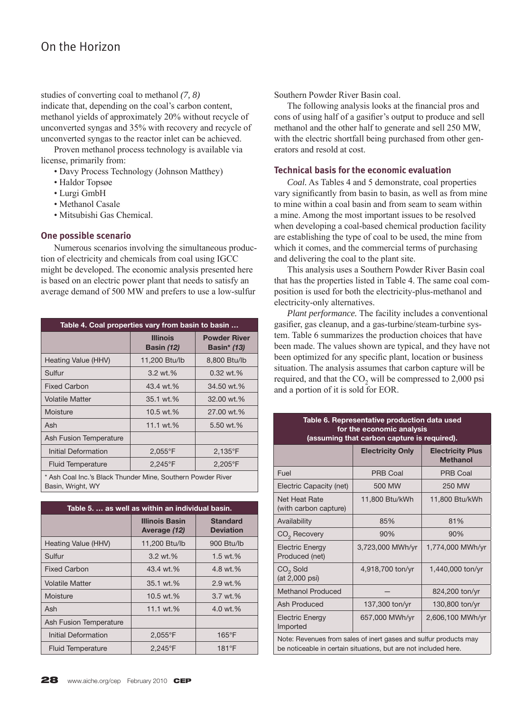## On the Horizon

studies of converting coal to methanol *(7, 8)* indicate that, depending on the coal's carbon content, methanol yields of approximately 20% without recycle of unconverted syngas and 35% with recovery and recycle of unconverted syngas to the reactor inlet can be achieved.

 Proven methanol process technology is available via license, primarily from:

- Davy Process Technology (Johnson Matthey)
- Haldor Topsøe
- Lurgi GmbH
- Methanol Casale
- Mitsubishi Gas Chemical.

#### **One possible scenario**

 Numerous scenarios involving the simultaneous production of electricity and chemicals from coal using IGCC might be developed. The economic analysis presented here is based on an electric power plant that needs to satisfy an average demand of 500 MW and prefers to use a low-sulfur

| Table 4. Coal properties vary from basin to basin           |                                      |                                           |
|-------------------------------------------------------------|--------------------------------------|-------------------------------------------|
|                                                             | <b>Illinois</b><br><b>Basin (12)</b> | <b>Powder River</b><br><b>Basin*</b> (13) |
| Heating Value (HHV)                                         | 11,200 Btu/lb                        | 8,800 Btu/lb                              |
| Sulfur                                                      | $3.2 \text{ wt.} %$                  | $0.32$ wt.%                               |
| <b>Fixed Carbon</b>                                         | 43.4 wt.%                            | 34.50 wt.%                                |
| <b>Volatile Matter</b>                                      | 35.1 wt.%                            | 32.00 wt.%                                |
| Moisture                                                    | 10.5 wt.%                            | 27.00 wt.%                                |
| Ash                                                         | 11.1 wt.%                            | 5.50 wt.%                                 |
| Ash Fusion Temperature                                      |                                      |                                           |
| <b>Initial Deformation</b>                                  | $2,055^{\circ}$ F                    | $2,135^{\circ}$ F                         |
| <b>Fluid Temperature</b>                                    | 2,245°F                              | $2,205^{\circ}$ F                         |
| * Ash Coal Inc.'s Black Thunder Mine, Southern Powder River |                                      |                                           |

Basin, Wright, WY

| Table 5.  as well as within an individual basin. |                                       |                                     |
|--------------------------------------------------|---------------------------------------|-------------------------------------|
|                                                  | <b>Illinois Basin</b><br>Average (12) | <b>Standard</b><br><b>Deviation</b> |
| Heating Value (HHV)                              | 11,200 Btu/lb                         | 900 Btu/lb                          |
| Sulfur                                           | $3.2 \text{ wt.} %$                   | 1.5 wt. $%$                         |
| <b>Fixed Carbon</b>                              | 43.4 wt.%                             | 4.8 wt.%                            |
| <b>Volatile Matter</b>                           | 35.1 wt.%                             | 2.9 wt.%                            |
| Moisture                                         | 10.5 wt.%                             | $3.7 \text{ wt.} %$                 |
| Ash                                              | 11.1 wt.%                             | 4.0 wt.%                            |
| Ash Fusion Temperature                           |                                       |                                     |
| Initial Deformation                              | $2,055^{\circ}$ F                     | $165^{\circ}$ F                     |
| <b>Fluid Temperature</b>                         | $2,245^{\circ}$ F                     | $181^{\circ}F$                      |

Southern Powder River Basin coal.

The following analysis looks at the financial pros and cons of using half of a gasifier's output to produce and sell methanol and the other half to generate and sell 250 MW, with the electric shortfall being purchased from other generators and resold at cost.

#### **Technical basis for the economic evaluation**

*Coal.* As Tables 4 and 5 demonstrate, coal properties vary significantly from basin to basin, as well as from mine to mine within a coal basin and from seam to seam within a mine. Among the most important issues to be resolved when developing a coal-based chemical production facility are establishing the type of coal to be used, the mine from which it comes, and the commercial terms of purchasing and delivering the coal to the plant site.

 This analysis uses a Southern Powder River Basin coal that has the properties listed in Table 4. The same coal composition is used for both the electricity-plus-methanol and electricity-only alternatives.

*Plant performance.* The facility includes a conventional gasifier, gas cleanup, and a gas-turbine/steam-turbine system. Table 6 summarizes the production choices that have been made. The values shown are typical, and they have not been optimized for any specific plant, location or business situation. The analysis assumes that carbon capture will be required, and that the  $CO<sub>2</sub>$  will be compressed to 2,000 psi and a portion of it is sold for EOR.

|                                             | Table 6. Representative production data used |  |
|---------------------------------------------|----------------------------------------------|--|
| for the economic analysis                   |                                              |  |
| (assuming that carbon capture is required). |                                              |  |
|                                             |                                              |  |

|                                                                                                                                     | <b>Electricity Only</b> | <b>Electricity Plus</b><br><b>Methanol</b> |
|-------------------------------------------------------------------------------------------------------------------------------------|-------------------------|--------------------------------------------|
| Fuel                                                                                                                                | <b>PRB Coal</b>         | PRB Coal                                   |
| Electric Capacity (net)                                                                                                             | 500 MW                  | <b>250 MW</b>                              |
| Net Heat Rate<br>(with carbon capture)                                                                                              | 11,800 Btu/kWh          | 11,800 Btu/kWh                             |
| Availability                                                                                                                        | 85%                     | 81%                                        |
| CO <sub>2</sub> Recovery                                                                                                            | 90%                     | 90%                                        |
| <b>Electric Energy</b><br>Produced (net)                                                                                            | 3,723,000 MWh/yr        | 1,774,000 MWh/yr                           |
| CO <sub>2</sub> Sold<br>(at 2,000 psi)                                                                                              | 4,918,700 ton/yr        | 1,440,000 ton/yr                           |
| <b>Methanol Produced</b>                                                                                                            |                         | 824,200 ton/yr                             |
| Ash Produced                                                                                                                        | 137,300 ton/yr          | 130,800 ton/yr                             |
| <b>Electric Energy</b><br>Imported                                                                                                  | 657,000 MWh/yr          | 2,606,100 MWh/yr                           |
| Note: Revenues from sales of inert gases and sulfur products may<br>be noticeable in certain situations, but are not included here. |                         |                                            |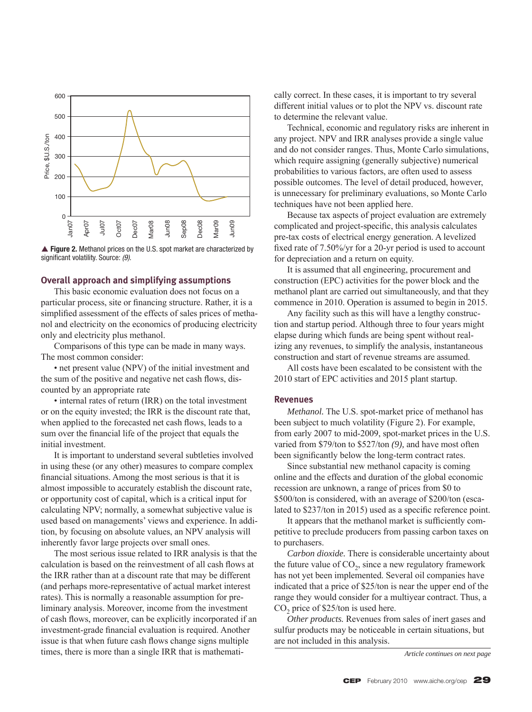

▲ Figure 2. Methanol prices on the U.S. spot market are characterized by significant volatility. Source: (9).

#### **Overall approach and simplifying assumptions**

 This basic economic evaluation does not focus on a particular process, site or financing structure. Rather, it is a simplified assessment of the effects of sales prices of methanol and electricity on the economics of producing electricity only and electricity plus methanol.

 Comparisons of this type can be made in many ways. The most common consider:

 • net present value (NPV) of the initial investment and the sum of the positive and negative net cash flows, discounted by an appropriate rate

• internal rates of return (IRR) on the total investment or on the equity invested; the IRR is the discount rate that, when applied to the forecasted net cash flows, leads to a sum over the financial life of the project that equals the initial investment.

 It is important to understand several subtleties involved in using these (or any other) measures to compare complex financial situations. Among the most serious is that it is almost impossible to accurately establish the discount rate, or opportunity cost of capital, which is a critical input for calculating NPV; normally, a somewhat subjective value is used based on managements' views and experience. In addition, by focusing on absolute values, an NPV analysis will inherently favor large projects over small ones.

 The most serious issue related to IRR analysis is that the calculation is based on the reinvestment of all cash flows at the IRR rather than at a discount rate that may be different (and perhaps more-representative of actual market interest rates). This is normally a reasonable assumption for preliminary analysis. Moreover, income from the investment of cash flows, moreover, can be explicitly incorporated if an investment-grade financial evaluation is required. Another issue is that when future cash flows change signs multiple times, there is more than a single IRR that is mathematically correct. In these cases, it is important to try several different initial values or to plot the NPV vs. discount rate to determine the relevant value.

 Technical, economic and regulatory risks are inherent in any project. NPV and IRR analyses provide a single value and do not consider ranges. Thus, Monte Carlo simulations, which require assigning (generally subjective) numerical probabilities to various factors, are often used to assess possible outcomes. The level of detail produced, however, is unnecessary for preliminary evaluations, so Monte Carlo techniques have not been applied here.

 Because tax aspects of project evaluation are extremely complicated and project-specific, this analysis calculates pre-tax costs of electrical energy generation. A levelized fixed rate of 7.50%/yr for a 20-yr period is used to account for depreciation and a return on equity.

 It is assumed that all engineering, procurement and construction (EPC) activities for the power block and the methanol plant are carried out simultaneously, and that they commence in 2010. Operation is assumed to begin in 2015.

 Any facility such as this will have a lengthy construction and startup period. Although three to four years might elapse during which funds are being spent without realizing any revenues, to simplify the analysis, instantaneous construction and start of revenue streams are assumed.

 All costs have been escalated to be consistent with the 2010 start of EPC activities and 2015 plant startup.

#### **Revenues**

*Methanol.* The U.S. spot-market price of methanol has been subject to much volatility (Figure 2). For example, from early 2007 to mid-2009, spot-market prices in the U.S. varied from \$79/ton to \$527/ton *(9),* and have most often been significantly below the long-term contract rates.

 Since substantial new methanol capacity is coming online and the effects and duration of the global economic recession are unknown, a range of prices from \$0 to \$500/ton is considered, with an average of \$200/ton (escalated to \$237/ton in 2015) used as a specific reference point.

It appears that the methanol market is sufficiently competitive to preclude producers from passing carbon taxes on to purchasers.

*Carbon dioxide.* There is considerable uncertainty about the future value of  $CO<sub>2</sub>$ , since a new regulatory framework has not yet been implemented. Several oil companies have indicated that a price of \$25/ton is near the upper end of the range they would consider for a multiyear contract. Thus, a CO<sub>2</sub> price of \$25/ton is used here.

*Other products.* Revenues from sales of inert gases and sulfur products may be noticeable in certain situations, but are not included in this analysis.

*Article continues on next page*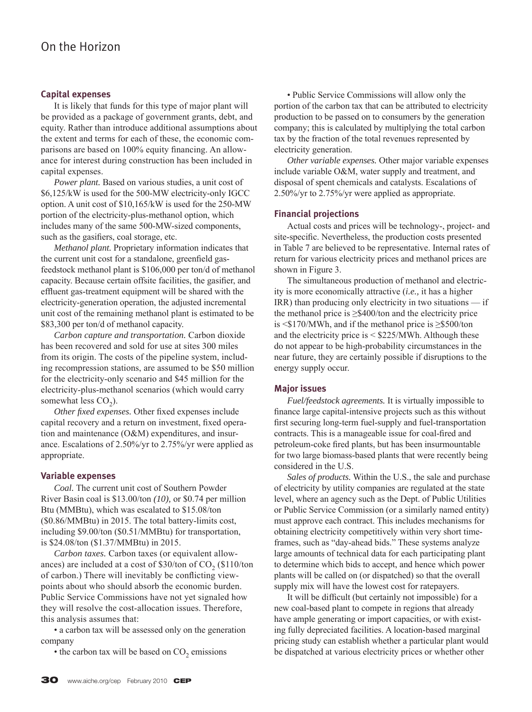#### **Capital expenses**

 It is likely that funds for this type of major plant will be provided as a package of government grants, debt, and equity. Rather than introduce additional assumptions about the extent and terms for each of these, the economic comparisons are based on 100% equity financing. An allowance for interest during construction has been included in capital expenses.

*Power plant.* Based on various studies, a unit cost of \$6,125/kW is used for the 500-MW electricity-only IGCC option. A unit cost of \$10,165/kW is used for the 250-MW portion of the electricity-plus-methanol option, which includes many of the same 500-MW-sized components, such as the gasifiers, coal storage, etc.

*Methanol plant.* Proprietary information indicates that the current unit cost for a standalone, greenfield gasfeedstock methanol plant is \$106,000 per ton/d of methanol capacity. Because certain offsite facilities, the gasifier, and effluent gas-treatment equipment will be shared with the electricity-generation operation, the adjusted incremental unit cost of the remaining methanol plant is estimated to be \$83,300 per ton/d of methanol capacity.

*Carbon capture and transportation.* Carbon dioxide has been recovered and sold for use at sites 300 miles from its origin. The costs of the pipeline system, including recompression stations, are assumed to be \$50 million for the electricity-only scenario and \$45 million for the electricity-plus-methanol scenarios (which would carry somewhat less  $CO<sub>2</sub>$ ).

*Other fixed expenses*. Other fixed expenses include capital recovery and a return on investment, fixed operation and maintenance (O&M) expenditures, and insurance. Escalations of 2.50%/yr to 2.75%/yr were applied as appropriate.

#### **Variable expenses**

*Coal.* The current unit cost of Southern Powder River Basin coal is \$13.00/ton *(10),* or \$0.74 per million Btu (MMBtu), which was escalated to \$15.08/ton (\$0.86/MMBtu) in 2015. The total battery-limits cost, including \$9.00/ton (\$0.51/MMBtu) for transportation, is \$24.08/ton (\$1.37/MMBtu) in 2015.

*Carbon taxes.* Carbon taxes (or equivalent allowances) are included at a cost of  $$30/t$ on of CO<sub>2</sub> (\$110/ton of carbon.) There will inevitably be conflicting viewpoints about who should absorb the economic burden. Public Service Commissions have not yet signaled how they will resolve the cost-allocation issues. Therefore, this analysis assumes that:

 • a carbon tax will be assessed only on the generation company

 $\bullet$  the carbon tax will be based on CO<sub>2</sub> emissions

 • Public Service Commissions will allow only the portion of the carbon tax that can be attributed to electricity production to be passed on to consumers by the generation company; this is calculated by multiplying the total carbon tax by the fraction of the total revenues represented by electricity generation.

*Other variable expenses.* Other major variable expenses include variable O&M, water supply and treatment, and disposal of spent chemicals and catalysts. Escalations of 2.50%/yr to 2.75%/yr were applied as appropriate.

#### **Financial projections**

 Actual costs and prices will be technology-, project- and site-specific. Nevertheless, the production costs presented in Table 7 are believed to be representative. Internal rates of return for various electricity prices and methanol prices are shown in Figure 3.

 The simultaneous production of methanol and electricity is more economically attractive (*i.e.,* it has a higher IRR) than producing only electricity in two situations — if the methanol price is  $\geq$ \$400/ton and the electricity price is <\$170/MWh, and if the methanol price is ≥\$500/ton and the electricity price is < \$225/MWh. Although these do not appear to be high-probability circumstances in the near future, they are certainly possible if disruptions to the energy supply occur.

#### **Major issues**

*Fuel/feedstock agreements.* It is virtually impossible to finance large capital-intensive projects such as this without first securing long-term fuel-supply and fuel-transportation contracts. This is a manageable issue for coal-fired and petroleum-coke fired plants, but has been insurmountable for two large biomass-based plants that were recently being considered in the U.S.

*Sales of products.* Within the U.S., the sale and purchase of electricity by utility companies are regulated at the state level, where an agency such as the Dept. of Public Utilities or Public Service Commission (or a similarly named entity) must approve each contract. This includes mechanisms for obtaining electricity competitively within very short timeframes, such as "day-ahead bids." These systems analyze large amounts of technical data for each participating plant to determine which bids to accept, and hence which power plants will be called on (or dispatched) so that the overall supply mix will have the lowest cost for ratepayers.

It will be difficult (but certainly not impossible) for a new coal-based plant to compete in regions that already have ample generating or import capacities, or with existing fully depreciated facilities. A location-based marginal pricing study can establish whether a particular plant would be dispatched at various electricity prices or whether other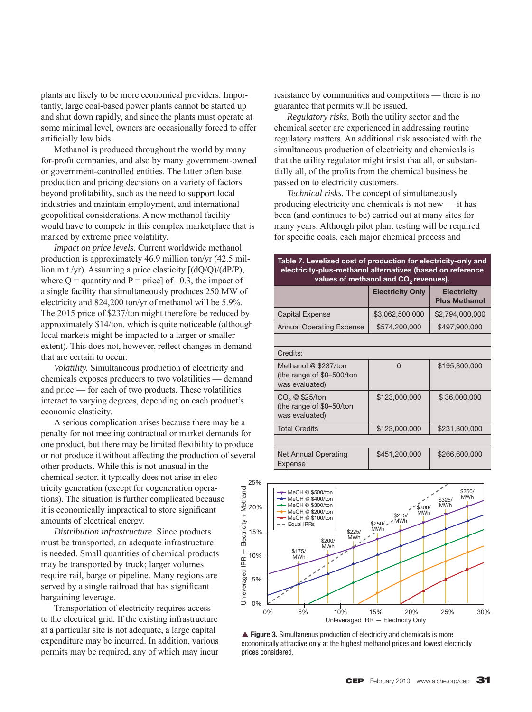plants are likely to be more economical providers. Importantly, large coal-based power plants cannot be started up and shut down rapidly, and since the plants must operate at some minimal level, owners are occasionally forced to offer artificially low bids.

 Methanol is produced throughout the world by many for-profit companies, and also by many government-owned or government-controlled entities. The latter often base production and pricing decisions on a variety of factors beyond profitability, such as the need to support local industries and maintain employment, and international geopolitical considerations. A new methanol facility would have to compete in this complex marketplace that is marked by extreme price volatility.

*Impact on price levels.* Current worldwide methanol production is approximately 46.9 million ton/yr (42.5 million m.t./yr). Assuming a price elasticity  $[(dQ/Q)/(dP/P)]$ , where  $Q =$  quantity and  $P =$  price] of  $-0.3$ , the impact of a single facility that simultaneously produces 250 MW of electricity and 824,200 ton/yr of methanol will be 5.9%. The 2015 price of \$237/ton might therefore be reduced by approximately \$14/ton, which is quite noticeable (although local markets might be impacted to a larger or smaller extent). This does not, however, reflect changes in demand that are certain to occur.

*Volatility.* Simultaneous production of electricity and chemicals exposes producers to two volatilities — demand and price — for each of two products. These volatilities interact to varying degrees, depending on each product's economic elasticity.

 A serious complication arises because there may be a penalty for not meeting contractual or market demands for one product, but there may be limited flexibility to produce or not produce it without affecting the production of several other products. While this is not unusual in the chemical sector, it typically does not arise in electricity generation (except for cogeneration operations). The situation is further complicated because it is economically impractical to store significant amounts of electrical energy.

*Distribution infrastructure.* Since products must be transported, an adequate infrastructure is needed. Small quantities of chemical products may be transported by truck; larger volumes require rail, barge or pipeline. Many regions are served by a single railroad that has significant bargaining leverage.

 Transportation of electricity requires access to the electrical grid. If the existing infrastructure at a particular site is not adequate, a large capital expenditure may be incurred. In addition, various permits may be required, any of which may incur resistance by communities and competitors — there is no guarantee that permits will be issued.

*Regulatory risks.* Both the utility sector and the chemical sector are experienced in addressing routine regulatory matters. An additional risk associated with the simultaneous production of electricity and chemicals is that the utility regulator might insist that all, or substantially all, of the profits from the chemical business be passed on to electricity customers.

*Technical risks.* The concept of simultaneously producing electricity and chemicals is not new — it has been (and continues to be) carried out at many sites for many years. Although pilot plant testing will be required for specific coals, each major chemical process and

#### **Table 7. Levelized cost of production for electricity-only and electricity-plus-methanol alternatives (based on reference**  values of methanol and CO<sub>2</sub> revenues).

|                                                                      | <b>Electricity Only</b> | <b>Electricity</b><br><b>Plus Methanol</b> |
|----------------------------------------------------------------------|-------------------------|--------------------------------------------|
| <b>Capital Expense</b>                                               | \$3,062,500,000         | \$2,794,000,000                            |
| <b>Annual Operating Expense</b>                                      | \$574,200,000           | \$497,900,000                              |
|                                                                      |                         |                                            |
| Credits:                                                             |                         |                                            |
| Methanol @ \$237/ton<br>(the range of \$0-500/ton<br>was evaluated)  | U                       | \$195,300,000                              |
| $CO2 \otimes $25$ /ton<br>(the range of \$0-50/ton<br>was evaluated) | \$123,000,000           | \$36,000,000                               |
| <b>Total Credits</b>                                                 | \$123,000,000           | \$231,300,000                              |
|                                                                      |                         |                                            |
| Net Annual Operating<br>Expense                                      | \$451,200,000           | \$266,600,000                              |



▲ Figure 3. Simultaneous production of electricity and chemicals is more economically attractive only at the highest methanol prices and lowest electricity prices considered.